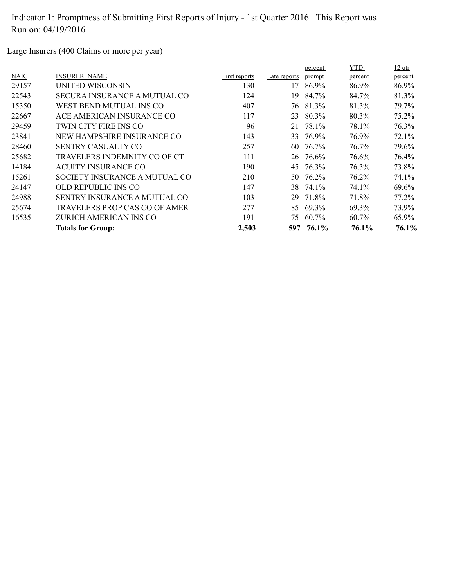Large Insurers (400 Claims or more per year)

|             |                                     |               |              | percent | YTD      | $12$ qtr |
|-------------|-------------------------------------|---------------|--------------|---------|----------|----------|
| <b>NAIC</b> | <b>INSURER NAME</b>                 | First reports | Late reports | prompt  | percent  | percent  |
| 29157       | UNITED WISCONSIN                    | 130           | 17           | 86.9%   | 86.9%    | 86.9%    |
| 22543       | SECURA INSURANCE A MUTUAL CO        | 124           | 19.          | 84.7%   | 84.7%    | 81.3%    |
| 15350       | WEST BEND MUTUAL INS CO             | 407           | 76           | 81.3%   | 81.3%    | 79.7%    |
| 22667       | ACE AMERICAN INSURANCE CO           | 117           | 23           | 80.3%   | 80.3%    | 75.2%    |
| 29459       | TWIN CITY FIRE INS CO               | 96            | 21           | 78.1%   | 78.1%    | 76.3%    |
| 23841       | NEW HAMPSHIRE INSURANCE CO          | 143           | 33           | 76.9%   | 76.9%    | 72.1%    |
| 28460       | SENTRY CASUALTY CO                  | 257           | 60           | 76.7%   | 76.7%    | 79.6%    |
| 25682       | TRAVELERS INDEMNITY CO OF CT        | 111           | 26           | 76.6%   | 76.6%    | 76.4%    |
| 14184       | <b>ACUITY INSURANCE CO</b>          | 190           | 45           | 76.3%   | 76.3%    | 73.8%    |
| 15261       | SOCIETY INSURANCE A MUTUAL CO       | 210           | 50           | 76.2%   | 76.2%    | 74.1%    |
| 24147       | OLD REPUBLIC INS CO                 | 147           | 38           | 74.1%   | 74.1%    | 69.6%    |
| 24988       | <b>SENTRY INSURANCE A MUTUAL CO</b> | 103           | 29           | 71.8%   | 71.8%    | 77.2%    |
| 25674       | TRAVELERS PROP CAS CO OF AMER       | 277           | 85           | 69.3%   | 69.3%    | 73.9%    |
| 16535       | ZURICH AMERICAN INS CO              | 191           | 75           | 60.7%   | $60.7\%$ | 65.9%    |
|             | <b>Totals for Group:</b>            | 2,503         | 597          | 76.1%   | 76.1%    | 76.1%    |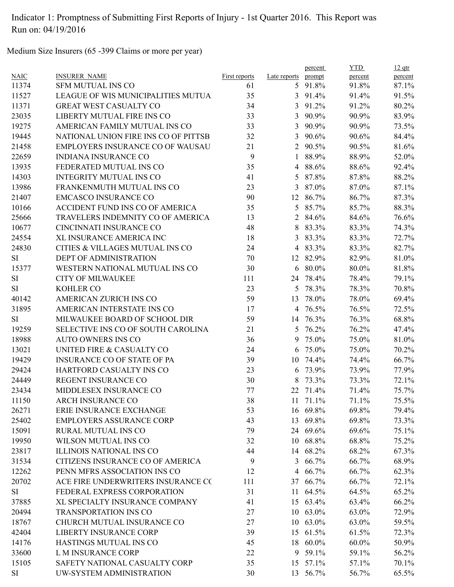Medium Size Insurers (65 -399 Claims or more per year)

|             |                                      |               |                | percent  | <b>YTD</b> | $12$ qtr |
|-------------|--------------------------------------|---------------|----------------|----------|------------|----------|
| <b>NAIC</b> | <b>INSURER NAME</b>                  | First reports | Late reports   | prompt   | percent    | percent  |
| 11374       | <b>SFM MUTUAL INS CO</b>             | 61            |                | 5 91.8%  | 91.8%      | 87.1%    |
| 11527       | LEAGUE OF WIS MUNICIPALITIES MUTUA   | 35            | 3              | 91.4%    | 91.4%      | 91.5%    |
| 11371       | <b>GREAT WEST CASUALTY CO</b>        | 34            | 3              | 91.2%    | 91.2%      | 80.2%    |
| 23035       | LIBERTY MUTUAL FIRE INS CO           | 33            | 3              | 90.9%    | 90.9%      | 83.9%    |
| 19275       | AMERICAN FAMILY MUTUAL INS CO        | 33            | $\overline{3}$ | 90.9%    | 90.9%      | 73.5%    |
| 19445       | NATIONAL UNION FIRE INS CO OF PITTSB | 32            | 3              | 90.6%    | 90.6%      | 84.4%    |
| 21458       | EMPLOYERS INSURANCE CO OF WAUSAU     | 21            | 2              | 90.5%    | 90.5%      | 81.6%    |
| 22659       | <b>INDIANA INSURANCE CO</b>          | 9             | $\mathbf{1}$   | 88.9%    | 88.9%      | 52.0%    |
| 13935       | FEDERATED MUTUAL INS CO              | 35            | $\overline{4}$ | 88.6%    | 88.6%      | 92.4%    |
| 14303       | <b>INTEGRITY MUTUAL INS CO</b>       | 41            | 5              | 87.8%    | 87.8%      | 88.2%    |
| 13986       | FRANKENMUTH MUTUAL INS CO            | 23            | 3              | 87.0%    | 87.0%      | 87.1%    |
| 21407       | <b>EMCASCO INSURANCE CO</b>          | 90            | 12             | 86.7%    | 86.7%      | 87.3%    |
| 10166       | ACCIDENT FUND INS CO OF AMERICA      | 35            | 5              | 85.7%    | 85.7%      | 88.3%    |
| 25666       | TRAVELERS INDEMNITY CO OF AMERICA    | 13            | 2              | 84.6%    | 84.6%      | 76.6%    |
| 10677       | CINCINNATI INSURANCE CO              | 48            | 8              | 83.3%    | 83.3%      | 74.3%    |
| 24554       | XL INSURANCE AMERICA INC             | 18            | 3              | 83.3%    | 83.3%      | 72.7%    |
| 24830       | CITIES & VILLAGES MUTUAL INS CO      | 24            |                | 4 83.3%  | 83.3%      | 82.7%    |
| SI          | DEPT OF ADMINISTRATION               | 70            |                | 12 82.9% | 82.9%      | 81.0%    |
| 15377       | WESTERN NATIONAL MUTUAL INS CO       | 30            |                | 6 80.0%  | 80.0%      | 81.8%    |
| SI          | <b>CITY OF MILWAUKEE</b>             | 111           | 24             | 78.4%    | 78.4%      | 79.1%    |
| <b>SI</b>   | <b>KOHLER CO</b>                     | 23            | 5              | 78.3%    | 78.3%      | 70.8%    |
| 40142       | AMERICAN ZURICH INS CO               | 59            | 13             | 78.0%    | 78.0%      | 69.4%    |
| 31895       | AMERICAN INTERSTATE INS CO           | 17            |                | 4 76.5%  | 76.5%      | 72.5%    |
| SI          | MILWAUKEE BOARD OF SCHOOL DIR        | 59            |                | 14 76.3% | 76.3%      | 68.8%    |
| 19259       | SELECTIVE INS CO OF SOUTH CAROLINA   | 21            | 5              | 76.2%    | 76.2%      | 47.4%    |
| 18988       | <b>AUTO OWNERS INS CO</b>            | 36            | 9              | 75.0%    | 75.0%      | 81.0%    |
| 13021       | UNITED FIRE & CASUALTY CO            | 24            | 6              | 75.0%    | 75.0%      | 70.2%    |
|             | <b>INSURANCE CO OF STATE OF PA</b>   |               |                |          | 74.4%      |          |
| 19429       |                                      | 39            | 10             | 74.4%    |            | 66.7%    |
| 29424       | HARTFORD CASUALTY INS CO             | 23            | 6              | 73.9%    | 73.9%      | 77.9%    |
| 24449       | REGENT INSURANCE CO                  | 30            | 8              | 73.3%    | 73.3%      | 72.1%    |
| 23434       | MIDDLESEX INSURANCE CO               | 77            | 22             | 71.4%    | 71.4%      | 75.7%    |
| 11150       | <b>ARCH INSURANCE CO</b>             | 38            |                | 11 71.1% | 71.1%      | 75.5%    |
| 26271       | ERIE INSURANCE EXCHANGE              | 53            |                | 16 69.8% | 69.8%      | 79.4%    |
| 25402       | <b>EMPLOYERS ASSURANCE CORP</b>      | 43            |                | 13 69.8% | 69.8%      | 73.3%    |
| 15091       | RURAL MUTUAL INS CO                  | 79            |                | 24 69.6% | 69.6%      | 75.1%    |
| 19950       | WILSON MUTUAL INS CO                 | 32            |                | 10 68.8% | 68.8%      | 75.2%    |
| 23817       | ILLINOIS NATIONAL INS CO             | 44            |                | 14 68.2% | 68.2%      | 67.3%    |
| 31534       | CITIZENS INSURANCE CO OF AMERICA     | 9             | 3              | 66.7%    | 66.7%      | 68.9%    |
| 12262       | PENN MFRS ASSOCIATION INS CO         | 12            | $\overline{4}$ | 66.7%    | 66.7%      | 62.3%    |
| 20702       | ACE FIRE UNDERWRITERS INSURANCE CO   | 111           |                | 37 66.7% | 66.7%      | 72.1%    |
| SI          | FEDERAL EXPRESS CORPORATION          | 31            | 11             | 64.5%    | 64.5%      | 65.2%    |
| 37885       | XL SPECIALTY INSURANCE COMPANY       | 41            |                | 15 63.4% | 63.4%      | 66.2%    |
| 20494       | <b>TRANSPORTATION INS CO</b>         | 27            |                | 10 63.0% | 63.0%      | 72.9%    |
| 18767       | CHURCH MUTUAL INSURANCE CO           | 27            |                | 10 63.0% | 63.0%      | 59.5%    |
| 42404       | <b>LIBERTY INSURANCE CORP</b>        | 39            | 15             | 61.5%    | 61.5%      | 72.3%    |
| 14176       | HASTINGS MUTUAL INS CO               | 45            |                | 18 60.0% | $60.0\%$   | 50.9%    |
| 33600       | L M INSURANCE CORP                   | 22            |                | 9 59.1%  | 59.1%      | 56.2%    |
| 15105       | SAFETY NATIONAL CASUALTY CORP        | 35            |                | 15 57.1% | 57.1%      | 70.1%    |
| <b>SI</b>   | UW-SYSTEM ADMINISTRATION             | 30            |                | 13 56.7% | 56.7%      | 65.5%    |
|             |                                      |               |                |          |            |          |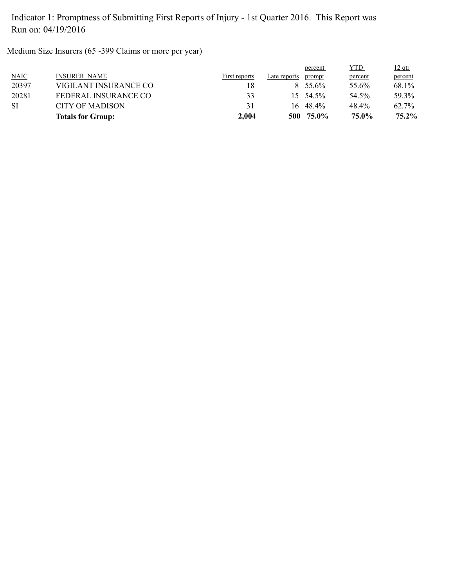Medium Size Insurers (65 -399 Claims or more per year)

|           | <b>Totals for Group:</b> | 2.004         | 500          | 75.0%             | 75.0%   | 75.2%    |
|-----------|--------------------------|---------------|--------------|-------------------|---------|----------|
| <b>SI</b> | CITY OF MADISON          | 31            |              | $16 \quad 48.4\%$ | 48.4%   | 62.7%    |
| 20281     | FEDERAL INSURANCE CO     | 33            |              | $15 \quad 54.5\%$ | 54.5%   | 59.3%    |
| 20397     | VIGILANT INSURANCE CO    | 18            |              | $8\quad 55\,6\%$  | 55.6%   | 68.1%    |
| NAIC      | <b>INSURER NAME</b>      | First reports | Late reports | prompt            | percent | percent  |
|           |                          |               |              | percent           | YTD     | $12$ qtr |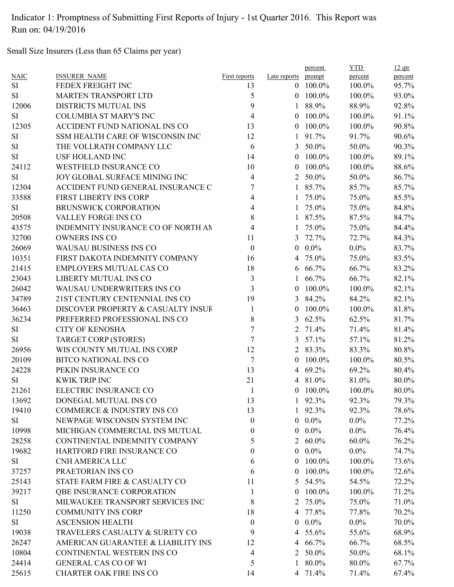Small Size Insurers (Less than 65 Claims per year)

| <b>NAIC</b><br>prompt<br>percent<br>percent<br><b>First reports</b><br>Late reports<br><b>SI</b><br>FEDEX FREIGHT INC<br>$0$ 100.0%<br>100.0%<br>95.7%<br>13<br>5<br><b>MARTEN TRANSPORT LTD</b><br>$0$ 100.0%<br>SI<br>100.0%<br>93.0%<br>9<br>12006<br><b>DISTRICTS MUTUAL INS</b><br>88.9%<br>88.9%<br>92.8%<br>$\mathbf{1}$<br><b>COLUMBIA ST MARY'S INC</b><br>4<br>100.0%<br><b>SI</b><br>100.0%<br>91.1%<br>$\theta$<br>12305<br>ACCIDENT FUND NATIONAL INS CO<br>13<br>100.0%<br>100.0%<br>90.8%<br>$\theta$<br>SI<br>SSM HEALTH CARE OF WISCONSIN INC<br>12<br>91.7%<br>91.7%<br>90.6%<br>1<br>6<br>50.0%<br><b>SI</b><br>THE VOLLRATH COMPANY LLC<br>50.0%<br>90.3%<br>3<br><b>SI</b><br><b>USF HOLLAND INC</b><br>14<br>$0$ 100.0%<br>$100.0\%$<br>89.1%<br>24112<br><b>WESTFIELD INSURANCE CO</b><br>10<br>100.0%<br>100.0%<br>88.6%<br>$\overline{0}$<br>JOY GLOBAL SURFACE MINING INC<br>$\overline{4}$<br>50.0%<br>50.0%<br>86.7%<br><b>SI</b><br>$\overline{2}$<br>7<br>12304<br>ACCIDENT FUND GENERAL INSURANCE C<br>1 85.7%<br>85.7%<br>85.7%<br>33588<br>75.0%<br>FIRST LIBERTY INS CORP<br>4<br>75.0%<br>85.5%<br>1<br>$\overline{\mathcal{A}}$<br><b>SI</b><br><b>BRUNSWICK CORPORATION</b><br>1 75.0%<br>75.0%<br>84.8%<br>8<br>20508<br>VALLEY FORGE INS CO<br>1 87.5%<br>87.5%<br>84.7%<br>4<br>43575<br>INDEMNITY INSURANCE CO OF NORTH AN<br>1 75.0%<br>75.0%<br>84.4%<br>32700<br>OWNERS INS CO<br>11<br>3 72.7%<br>72.7%<br>84.3%<br>26069<br><b>WAUSAU BUSINESS INS CO</b><br>$\boldsymbol{0}$<br>$0.0\%$<br>$0.0\%$<br>83.7%<br>$\overline{0}$<br>10351<br>FIRST DAKOTA INDEMNITY COMPANY<br>75.0%<br>83.5%<br>16<br>75.0%<br>4<br>21415<br><b>EMPLOYERS MUTUAL CAS CO</b><br>18<br>66.7%<br>66.7%<br>83.2%<br>6<br>$\mathfrak{Z}$<br>23043<br>66.7%<br>LIBERTY MUTUAL INS CO<br>66.7%<br>82.1%<br>$\mathbf{1}$<br>3<br>26042<br>WAUSAU UNDERWRITERS INS CO<br>100.0%<br>82.1%<br>100.0%<br>$\theta$<br>34789<br>19<br>21ST CENTURY CENTENNIAL INS CO<br>3 84.2%<br>84.2%<br>82.1%<br>36463<br>DISCOVER PROPERTY & CASUALTY INSUF<br>100.0%<br>100.0%<br>81.8%<br>1<br>$\theta$<br>36234<br>8<br>PREFERRED PROFESSIONAL INS CO<br>62.5%<br>62.5%<br>81.7%<br>3<br>7<br><b>CITY OF KENOSHA</b><br>71.4%<br>71.4%<br>81.4%<br><b>SI</b><br>2<br>7<br><b>SI</b><br><b>TARGET CORP (STORES)</b><br>57.1%<br>57.1%<br>81.2%<br>3<br>12<br>26956<br>WIS COUNTY MUTUAL INS CORP<br>2 83.3%<br>83.3%<br>80.8%<br>$\tau$<br>20109<br><b>BITCO NATIONAL INS CO</b><br>100.0%<br>100.0%<br>80.5%<br>$\theta$<br>24228<br>PEKIN INSURANCE CO<br>13<br>4 69.2%<br>69.2%<br>80.4%<br>21<br><b>SI</b><br><b>KWIK TRIP INC</b><br>4 81.0%<br>81.0%<br>80.0%<br>21261<br>ELECTRIC INSURANCE CO<br>$0$ 100.0%<br>100.0%<br>80.0%<br>$\mathbf{1}$<br>13692<br>DONEGAL MUTUAL INS CO<br>1 92.3%<br>92.3%<br>79.3%<br>13<br>19410<br>COMMERCE & INDUSTRY INS CO<br>13<br>92.3%<br>78.6%<br>92.3%<br>$\mathbf{1}$<br>NEWPAGE WISCONSIN SYSTEM INC<br>$0.0\%$<br>SI<br>$\boldsymbol{0}$<br>$0.0\%$<br>77.2%<br>10998<br>MICHIGAN COMMERCIAL INS MUTUAL<br>$0.0\%$<br>$0.0\%$<br>76.4%<br>$\theta$<br>$\overline{0}$<br>28258<br>CONTINENTAL INDEMNITY COMPANY<br>76.2%<br>5<br>$60.0\%$<br>$60.0\%$<br>2<br>$0.0\%$<br>19682<br>HARTFORD FIRE INSURANCE CO<br>0<br>$0.0\%$<br>74.7%<br>$\overline{0}$<br>CNH AMERICA LLC<br>100.0%<br>SI<br>6<br>100.0%<br>73.6%<br>$\overline{0}$<br>PRAETORIAN INS CO<br>100.0%<br>37257<br>6<br>100.0%<br>72.6%<br>$\overline{0}$<br>25143<br>STATE FARM FIRE & CASUALTY CO<br>54.5%<br>72.2%<br>11<br>54.5%<br>5<br>100.0%<br>39217<br><b>QBE INSURANCE CORPORATION</b><br>100.0%<br>71.2%<br>1<br>$\overline{0}$<br>MILWAUKEE TRANSPORT SERVICES INC<br>8<br>75.0%<br>SI<br>75.0%<br>71.0%<br>2<br>11250<br><b>COMMUNITY INS CORP</b><br>18<br>4 77.8%<br>77.8%<br>70.2%<br><b>SI</b><br><b>ASCENSION HEALTH</b><br>$\boldsymbol{0}$<br>$0.0\%$<br>$0.0\%$<br>70.0%<br>$\overline{0}$<br>19038<br>TRAVELERS CASUALTY & SURETY CO<br>9<br>4 55.6%<br>68.9%<br>55.6%<br>26247<br>AMERICAN GUARANTEE & LIABILITY INS<br>4 66.7%<br>68.5%<br>12<br>66.7%<br>10804<br>CONTINENTAL WESTERN INS CO<br>2 50.0%<br>4<br>50.0%<br>68.1%<br>5<br>24414<br><b>GENERAL CAS CO OF WI</b><br>1 80.0%<br>80.0%<br>67.7%<br>25615<br><b>CHARTER OAK FIRE INS CO</b><br>14<br>4 71.4%<br>71.4%<br>67.4% |                     |  | percent | <b>YTD</b> | $12$ qtr |
|-----------------------------------------------------------------------------------------------------------------------------------------------------------------------------------------------------------------------------------------------------------------------------------------------------------------------------------------------------------------------------------------------------------------------------------------------------------------------------------------------------------------------------------------------------------------------------------------------------------------------------------------------------------------------------------------------------------------------------------------------------------------------------------------------------------------------------------------------------------------------------------------------------------------------------------------------------------------------------------------------------------------------------------------------------------------------------------------------------------------------------------------------------------------------------------------------------------------------------------------------------------------------------------------------------------------------------------------------------------------------------------------------------------------------------------------------------------------------------------------------------------------------------------------------------------------------------------------------------------------------------------------------------------------------------------------------------------------------------------------------------------------------------------------------------------------------------------------------------------------------------------------------------------------------------------------------------------------------------------------------------------------------------------------------------------------------------------------------------------------------------------------------------------------------------------------------------------------------------------------------------------------------------------------------------------------------------------------------------------------------------------------------------------------------------------------------------------------------------------------------------------------------------------------------------------------------------------------------------------------------------------------------------------------------------------------------------------------------------------------------------------------------------------------------------------------------------------------------------------------------------------------------------------------------------------------------------------------------------------------------------------------------------------------------------------------------------------------------------------------------------------------------------------------------------------------------------------------------------------------------------------------------------------------------------------------------------------------------------------------------------------------------------------------------------------------------------------------------------------------------------------------------------------------------------------------------------------------------------------------------------------------------------------------------------------------------------------------------------------------------------------------------------------------------------------------------------------------------------------------------------------------------------------------------------------------------------------------------------------------------------------------------------------------------------------------------------------------------------------------------------------------------------------------------------------------------------------------------------------------------------------------------------------------------------------------------------------|---------------------|--|---------|------------|----------|
|                                                                                                                                                                                                                                                                                                                                                                                                                                                                                                                                                                                                                                                                                                                                                                                                                                                                                                                                                                                                                                                                                                                                                                                                                                                                                                                                                                                                                                                                                                                                                                                                                                                                                                                                                                                                                                                                                                                                                                                                                                                                                                                                                                                                                                                                                                                                                                                                                                                                                                                                                                                                                                                                                                                                                                                                                                                                                                                                                                                                                                                                                                                                                                                                                                                                                                                                                                                                                                                                                                                                                                                                                                                                                                                                                                                                                                                                                                                                                                                                                                                                                                                                                                                                                                                                                                                                   | <b>INSURER NAME</b> |  |         |            |          |
|                                                                                                                                                                                                                                                                                                                                                                                                                                                                                                                                                                                                                                                                                                                                                                                                                                                                                                                                                                                                                                                                                                                                                                                                                                                                                                                                                                                                                                                                                                                                                                                                                                                                                                                                                                                                                                                                                                                                                                                                                                                                                                                                                                                                                                                                                                                                                                                                                                                                                                                                                                                                                                                                                                                                                                                                                                                                                                                                                                                                                                                                                                                                                                                                                                                                                                                                                                                                                                                                                                                                                                                                                                                                                                                                                                                                                                                                                                                                                                                                                                                                                                                                                                                                                                                                                                                                   |                     |  |         |            |          |
|                                                                                                                                                                                                                                                                                                                                                                                                                                                                                                                                                                                                                                                                                                                                                                                                                                                                                                                                                                                                                                                                                                                                                                                                                                                                                                                                                                                                                                                                                                                                                                                                                                                                                                                                                                                                                                                                                                                                                                                                                                                                                                                                                                                                                                                                                                                                                                                                                                                                                                                                                                                                                                                                                                                                                                                                                                                                                                                                                                                                                                                                                                                                                                                                                                                                                                                                                                                                                                                                                                                                                                                                                                                                                                                                                                                                                                                                                                                                                                                                                                                                                                                                                                                                                                                                                                                                   |                     |  |         |            |          |
|                                                                                                                                                                                                                                                                                                                                                                                                                                                                                                                                                                                                                                                                                                                                                                                                                                                                                                                                                                                                                                                                                                                                                                                                                                                                                                                                                                                                                                                                                                                                                                                                                                                                                                                                                                                                                                                                                                                                                                                                                                                                                                                                                                                                                                                                                                                                                                                                                                                                                                                                                                                                                                                                                                                                                                                                                                                                                                                                                                                                                                                                                                                                                                                                                                                                                                                                                                                                                                                                                                                                                                                                                                                                                                                                                                                                                                                                                                                                                                                                                                                                                                                                                                                                                                                                                                                                   |                     |  |         |            |          |
|                                                                                                                                                                                                                                                                                                                                                                                                                                                                                                                                                                                                                                                                                                                                                                                                                                                                                                                                                                                                                                                                                                                                                                                                                                                                                                                                                                                                                                                                                                                                                                                                                                                                                                                                                                                                                                                                                                                                                                                                                                                                                                                                                                                                                                                                                                                                                                                                                                                                                                                                                                                                                                                                                                                                                                                                                                                                                                                                                                                                                                                                                                                                                                                                                                                                                                                                                                                                                                                                                                                                                                                                                                                                                                                                                                                                                                                                                                                                                                                                                                                                                                                                                                                                                                                                                                                                   |                     |  |         |            |          |
|                                                                                                                                                                                                                                                                                                                                                                                                                                                                                                                                                                                                                                                                                                                                                                                                                                                                                                                                                                                                                                                                                                                                                                                                                                                                                                                                                                                                                                                                                                                                                                                                                                                                                                                                                                                                                                                                                                                                                                                                                                                                                                                                                                                                                                                                                                                                                                                                                                                                                                                                                                                                                                                                                                                                                                                                                                                                                                                                                                                                                                                                                                                                                                                                                                                                                                                                                                                                                                                                                                                                                                                                                                                                                                                                                                                                                                                                                                                                                                                                                                                                                                                                                                                                                                                                                                                                   |                     |  |         |            |          |
|                                                                                                                                                                                                                                                                                                                                                                                                                                                                                                                                                                                                                                                                                                                                                                                                                                                                                                                                                                                                                                                                                                                                                                                                                                                                                                                                                                                                                                                                                                                                                                                                                                                                                                                                                                                                                                                                                                                                                                                                                                                                                                                                                                                                                                                                                                                                                                                                                                                                                                                                                                                                                                                                                                                                                                                                                                                                                                                                                                                                                                                                                                                                                                                                                                                                                                                                                                                                                                                                                                                                                                                                                                                                                                                                                                                                                                                                                                                                                                                                                                                                                                                                                                                                                                                                                                                                   |                     |  |         |            |          |
|                                                                                                                                                                                                                                                                                                                                                                                                                                                                                                                                                                                                                                                                                                                                                                                                                                                                                                                                                                                                                                                                                                                                                                                                                                                                                                                                                                                                                                                                                                                                                                                                                                                                                                                                                                                                                                                                                                                                                                                                                                                                                                                                                                                                                                                                                                                                                                                                                                                                                                                                                                                                                                                                                                                                                                                                                                                                                                                                                                                                                                                                                                                                                                                                                                                                                                                                                                                                                                                                                                                                                                                                                                                                                                                                                                                                                                                                                                                                                                                                                                                                                                                                                                                                                                                                                                                                   |                     |  |         |            |          |
|                                                                                                                                                                                                                                                                                                                                                                                                                                                                                                                                                                                                                                                                                                                                                                                                                                                                                                                                                                                                                                                                                                                                                                                                                                                                                                                                                                                                                                                                                                                                                                                                                                                                                                                                                                                                                                                                                                                                                                                                                                                                                                                                                                                                                                                                                                                                                                                                                                                                                                                                                                                                                                                                                                                                                                                                                                                                                                                                                                                                                                                                                                                                                                                                                                                                                                                                                                                                                                                                                                                                                                                                                                                                                                                                                                                                                                                                                                                                                                                                                                                                                                                                                                                                                                                                                                                                   |                     |  |         |            |          |
|                                                                                                                                                                                                                                                                                                                                                                                                                                                                                                                                                                                                                                                                                                                                                                                                                                                                                                                                                                                                                                                                                                                                                                                                                                                                                                                                                                                                                                                                                                                                                                                                                                                                                                                                                                                                                                                                                                                                                                                                                                                                                                                                                                                                                                                                                                                                                                                                                                                                                                                                                                                                                                                                                                                                                                                                                                                                                                                                                                                                                                                                                                                                                                                                                                                                                                                                                                                                                                                                                                                                                                                                                                                                                                                                                                                                                                                                                                                                                                                                                                                                                                                                                                                                                                                                                                                                   |                     |  |         |            |          |
|                                                                                                                                                                                                                                                                                                                                                                                                                                                                                                                                                                                                                                                                                                                                                                                                                                                                                                                                                                                                                                                                                                                                                                                                                                                                                                                                                                                                                                                                                                                                                                                                                                                                                                                                                                                                                                                                                                                                                                                                                                                                                                                                                                                                                                                                                                                                                                                                                                                                                                                                                                                                                                                                                                                                                                                                                                                                                                                                                                                                                                                                                                                                                                                                                                                                                                                                                                                                                                                                                                                                                                                                                                                                                                                                                                                                                                                                                                                                                                                                                                                                                                                                                                                                                                                                                                                                   |                     |  |         |            |          |
|                                                                                                                                                                                                                                                                                                                                                                                                                                                                                                                                                                                                                                                                                                                                                                                                                                                                                                                                                                                                                                                                                                                                                                                                                                                                                                                                                                                                                                                                                                                                                                                                                                                                                                                                                                                                                                                                                                                                                                                                                                                                                                                                                                                                                                                                                                                                                                                                                                                                                                                                                                                                                                                                                                                                                                                                                                                                                                                                                                                                                                                                                                                                                                                                                                                                                                                                                                                                                                                                                                                                                                                                                                                                                                                                                                                                                                                                                                                                                                                                                                                                                                                                                                                                                                                                                                                                   |                     |  |         |            |          |
|                                                                                                                                                                                                                                                                                                                                                                                                                                                                                                                                                                                                                                                                                                                                                                                                                                                                                                                                                                                                                                                                                                                                                                                                                                                                                                                                                                                                                                                                                                                                                                                                                                                                                                                                                                                                                                                                                                                                                                                                                                                                                                                                                                                                                                                                                                                                                                                                                                                                                                                                                                                                                                                                                                                                                                                                                                                                                                                                                                                                                                                                                                                                                                                                                                                                                                                                                                                                                                                                                                                                                                                                                                                                                                                                                                                                                                                                                                                                                                                                                                                                                                                                                                                                                                                                                                                                   |                     |  |         |            |          |
|                                                                                                                                                                                                                                                                                                                                                                                                                                                                                                                                                                                                                                                                                                                                                                                                                                                                                                                                                                                                                                                                                                                                                                                                                                                                                                                                                                                                                                                                                                                                                                                                                                                                                                                                                                                                                                                                                                                                                                                                                                                                                                                                                                                                                                                                                                                                                                                                                                                                                                                                                                                                                                                                                                                                                                                                                                                                                                                                                                                                                                                                                                                                                                                                                                                                                                                                                                                                                                                                                                                                                                                                                                                                                                                                                                                                                                                                                                                                                                                                                                                                                                                                                                                                                                                                                                                                   |                     |  |         |            |          |
|                                                                                                                                                                                                                                                                                                                                                                                                                                                                                                                                                                                                                                                                                                                                                                                                                                                                                                                                                                                                                                                                                                                                                                                                                                                                                                                                                                                                                                                                                                                                                                                                                                                                                                                                                                                                                                                                                                                                                                                                                                                                                                                                                                                                                                                                                                                                                                                                                                                                                                                                                                                                                                                                                                                                                                                                                                                                                                                                                                                                                                                                                                                                                                                                                                                                                                                                                                                                                                                                                                                                                                                                                                                                                                                                                                                                                                                                                                                                                                                                                                                                                                                                                                                                                                                                                                                                   |                     |  |         |            |          |
|                                                                                                                                                                                                                                                                                                                                                                                                                                                                                                                                                                                                                                                                                                                                                                                                                                                                                                                                                                                                                                                                                                                                                                                                                                                                                                                                                                                                                                                                                                                                                                                                                                                                                                                                                                                                                                                                                                                                                                                                                                                                                                                                                                                                                                                                                                                                                                                                                                                                                                                                                                                                                                                                                                                                                                                                                                                                                                                                                                                                                                                                                                                                                                                                                                                                                                                                                                                                                                                                                                                                                                                                                                                                                                                                                                                                                                                                                                                                                                                                                                                                                                                                                                                                                                                                                                                                   |                     |  |         |            |          |
|                                                                                                                                                                                                                                                                                                                                                                                                                                                                                                                                                                                                                                                                                                                                                                                                                                                                                                                                                                                                                                                                                                                                                                                                                                                                                                                                                                                                                                                                                                                                                                                                                                                                                                                                                                                                                                                                                                                                                                                                                                                                                                                                                                                                                                                                                                                                                                                                                                                                                                                                                                                                                                                                                                                                                                                                                                                                                                                                                                                                                                                                                                                                                                                                                                                                                                                                                                                                                                                                                                                                                                                                                                                                                                                                                                                                                                                                                                                                                                                                                                                                                                                                                                                                                                                                                                                                   |                     |  |         |            |          |
|                                                                                                                                                                                                                                                                                                                                                                                                                                                                                                                                                                                                                                                                                                                                                                                                                                                                                                                                                                                                                                                                                                                                                                                                                                                                                                                                                                                                                                                                                                                                                                                                                                                                                                                                                                                                                                                                                                                                                                                                                                                                                                                                                                                                                                                                                                                                                                                                                                                                                                                                                                                                                                                                                                                                                                                                                                                                                                                                                                                                                                                                                                                                                                                                                                                                                                                                                                                                                                                                                                                                                                                                                                                                                                                                                                                                                                                                                                                                                                                                                                                                                                                                                                                                                                                                                                                                   |                     |  |         |            |          |
|                                                                                                                                                                                                                                                                                                                                                                                                                                                                                                                                                                                                                                                                                                                                                                                                                                                                                                                                                                                                                                                                                                                                                                                                                                                                                                                                                                                                                                                                                                                                                                                                                                                                                                                                                                                                                                                                                                                                                                                                                                                                                                                                                                                                                                                                                                                                                                                                                                                                                                                                                                                                                                                                                                                                                                                                                                                                                                                                                                                                                                                                                                                                                                                                                                                                                                                                                                                                                                                                                                                                                                                                                                                                                                                                                                                                                                                                                                                                                                                                                                                                                                                                                                                                                                                                                                                                   |                     |  |         |            |          |
|                                                                                                                                                                                                                                                                                                                                                                                                                                                                                                                                                                                                                                                                                                                                                                                                                                                                                                                                                                                                                                                                                                                                                                                                                                                                                                                                                                                                                                                                                                                                                                                                                                                                                                                                                                                                                                                                                                                                                                                                                                                                                                                                                                                                                                                                                                                                                                                                                                                                                                                                                                                                                                                                                                                                                                                                                                                                                                                                                                                                                                                                                                                                                                                                                                                                                                                                                                                                                                                                                                                                                                                                                                                                                                                                                                                                                                                                                                                                                                                                                                                                                                                                                                                                                                                                                                                                   |                     |  |         |            |          |
|                                                                                                                                                                                                                                                                                                                                                                                                                                                                                                                                                                                                                                                                                                                                                                                                                                                                                                                                                                                                                                                                                                                                                                                                                                                                                                                                                                                                                                                                                                                                                                                                                                                                                                                                                                                                                                                                                                                                                                                                                                                                                                                                                                                                                                                                                                                                                                                                                                                                                                                                                                                                                                                                                                                                                                                                                                                                                                                                                                                                                                                                                                                                                                                                                                                                                                                                                                                                                                                                                                                                                                                                                                                                                                                                                                                                                                                                                                                                                                                                                                                                                                                                                                                                                                                                                                                                   |                     |  |         |            |          |
|                                                                                                                                                                                                                                                                                                                                                                                                                                                                                                                                                                                                                                                                                                                                                                                                                                                                                                                                                                                                                                                                                                                                                                                                                                                                                                                                                                                                                                                                                                                                                                                                                                                                                                                                                                                                                                                                                                                                                                                                                                                                                                                                                                                                                                                                                                                                                                                                                                                                                                                                                                                                                                                                                                                                                                                                                                                                                                                                                                                                                                                                                                                                                                                                                                                                                                                                                                                                                                                                                                                                                                                                                                                                                                                                                                                                                                                                                                                                                                                                                                                                                                                                                                                                                                                                                                                                   |                     |  |         |            |          |
|                                                                                                                                                                                                                                                                                                                                                                                                                                                                                                                                                                                                                                                                                                                                                                                                                                                                                                                                                                                                                                                                                                                                                                                                                                                                                                                                                                                                                                                                                                                                                                                                                                                                                                                                                                                                                                                                                                                                                                                                                                                                                                                                                                                                                                                                                                                                                                                                                                                                                                                                                                                                                                                                                                                                                                                                                                                                                                                                                                                                                                                                                                                                                                                                                                                                                                                                                                                                                                                                                                                                                                                                                                                                                                                                                                                                                                                                                                                                                                                                                                                                                                                                                                                                                                                                                                                                   |                     |  |         |            |          |
|                                                                                                                                                                                                                                                                                                                                                                                                                                                                                                                                                                                                                                                                                                                                                                                                                                                                                                                                                                                                                                                                                                                                                                                                                                                                                                                                                                                                                                                                                                                                                                                                                                                                                                                                                                                                                                                                                                                                                                                                                                                                                                                                                                                                                                                                                                                                                                                                                                                                                                                                                                                                                                                                                                                                                                                                                                                                                                                                                                                                                                                                                                                                                                                                                                                                                                                                                                                                                                                                                                                                                                                                                                                                                                                                                                                                                                                                                                                                                                                                                                                                                                                                                                                                                                                                                                                                   |                     |  |         |            |          |
|                                                                                                                                                                                                                                                                                                                                                                                                                                                                                                                                                                                                                                                                                                                                                                                                                                                                                                                                                                                                                                                                                                                                                                                                                                                                                                                                                                                                                                                                                                                                                                                                                                                                                                                                                                                                                                                                                                                                                                                                                                                                                                                                                                                                                                                                                                                                                                                                                                                                                                                                                                                                                                                                                                                                                                                                                                                                                                                                                                                                                                                                                                                                                                                                                                                                                                                                                                                                                                                                                                                                                                                                                                                                                                                                                                                                                                                                                                                                                                                                                                                                                                                                                                                                                                                                                                                                   |                     |  |         |            |          |
|                                                                                                                                                                                                                                                                                                                                                                                                                                                                                                                                                                                                                                                                                                                                                                                                                                                                                                                                                                                                                                                                                                                                                                                                                                                                                                                                                                                                                                                                                                                                                                                                                                                                                                                                                                                                                                                                                                                                                                                                                                                                                                                                                                                                                                                                                                                                                                                                                                                                                                                                                                                                                                                                                                                                                                                                                                                                                                                                                                                                                                                                                                                                                                                                                                                                                                                                                                                                                                                                                                                                                                                                                                                                                                                                                                                                                                                                                                                                                                                                                                                                                                                                                                                                                                                                                                                                   |                     |  |         |            |          |
|                                                                                                                                                                                                                                                                                                                                                                                                                                                                                                                                                                                                                                                                                                                                                                                                                                                                                                                                                                                                                                                                                                                                                                                                                                                                                                                                                                                                                                                                                                                                                                                                                                                                                                                                                                                                                                                                                                                                                                                                                                                                                                                                                                                                                                                                                                                                                                                                                                                                                                                                                                                                                                                                                                                                                                                                                                                                                                                                                                                                                                                                                                                                                                                                                                                                                                                                                                                                                                                                                                                                                                                                                                                                                                                                                                                                                                                                                                                                                                                                                                                                                                                                                                                                                                                                                                                                   |                     |  |         |            |          |
|                                                                                                                                                                                                                                                                                                                                                                                                                                                                                                                                                                                                                                                                                                                                                                                                                                                                                                                                                                                                                                                                                                                                                                                                                                                                                                                                                                                                                                                                                                                                                                                                                                                                                                                                                                                                                                                                                                                                                                                                                                                                                                                                                                                                                                                                                                                                                                                                                                                                                                                                                                                                                                                                                                                                                                                                                                                                                                                                                                                                                                                                                                                                                                                                                                                                                                                                                                                                                                                                                                                                                                                                                                                                                                                                                                                                                                                                                                                                                                                                                                                                                                                                                                                                                                                                                                                                   |                     |  |         |            |          |
|                                                                                                                                                                                                                                                                                                                                                                                                                                                                                                                                                                                                                                                                                                                                                                                                                                                                                                                                                                                                                                                                                                                                                                                                                                                                                                                                                                                                                                                                                                                                                                                                                                                                                                                                                                                                                                                                                                                                                                                                                                                                                                                                                                                                                                                                                                                                                                                                                                                                                                                                                                                                                                                                                                                                                                                                                                                                                                                                                                                                                                                                                                                                                                                                                                                                                                                                                                                                                                                                                                                                                                                                                                                                                                                                                                                                                                                                                                                                                                                                                                                                                                                                                                                                                                                                                                                                   |                     |  |         |            |          |
|                                                                                                                                                                                                                                                                                                                                                                                                                                                                                                                                                                                                                                                                                                                                                                                                                                                                                                                                                                                                                                                                                                                                                                                                                                                                                                                                                                                                                                                                                                                                                                                                                                                                                                                                                                                                                                                                                                                                                                                                                                                                                                                                                                                                                                                                                                                                                                                                                                                                                                                                                                                                                                                                                                                                                                                                                                                                                                                                                                                                                                                                                                                                                                                                                                                                                                                                                                                                                                                                                                                                                                                                                                                                                                                                                                                                                                                                                                                                                                                                                                                                                                                                                                                                                                                                                                                                   |                     |  |         |            |          |
|                                                                                                                                                                                                                                                                                                                                                                                                                                                                                                                                                                                                                                                                                                                                                                                                                                                                                                                                                                                                                                                                                                                                                                                                                                                                                                                                                                                                                                                                                                                                                                                                                                                                                                                                                                                                                                                                                                                                                                                                                                                                                                                                                                                                                                                                                                                                                                                                                                                                                                                                                                                                                                                                                                                                                                                                                                                                                                                                                                                                                                                                                                                                                                                                                                                                                                                                                                                                                                                                                                                                                                                                                                                                                                                                                                                                                                                                                                                                                                                                                                                                                                                                                                                                                                                                                                                                   |                     |  |         |            |          |
|                                                                                                                                                                                                                                                                                                                                                                                                                                                                                                                                                                                                                                                                                                                                                                                                                                                                                                                                                                                                                                                                                                                                                                                                                                                                                                                                                                                                                                                                                                                                                                                                                                                                                                                                                                                                                                                                                                                                                                                                                                                                                                                                                                                                                                                                                                                                                                                                                                                                                                                                                                                                                                                                                                                                                                                                                                                                                                                                                                                                                                                                                                                                                                                                                                                                                                                                                                                                                                                                                                                                                                                                                                                                                                                                                                                                                                                                                                                                                                                                                                                                                                                                                                                                                                                                                                                                   |                     |  |         |            |          |
|                                                                                                                                                                                                                                                                                                                                                                                                                                                                                                                                                                                                                                                                                                                                                                                                                                                                                                                                                                                                                                                                                                                                                                                                                                                                                                                                                                                                                                                                                                                                                                                                                                                                                                                                                                                                                                                                                                                                                                                                                                                                                                                                                                                                                                                                                                                                                                                                                                                                                                                                                                                                                                                                                                                                                                                                                                                                                                                                                                                                                                                                                                                                                                                                                                                                                                                                                                                                                                                                                                                                                                                                                                                                                                                                                                                                                                                                                                                                                                                                                                                                                                                                                                                                                                                                                                                                   |                     |  |         |            |          |
|                                                                                                                                                                                                                                                                                                                                                                                                                                                                                                                                                                                                                                                                                                                                                                                                                                                                                                                                                                                                                                                                                                                                                                                                                                                                                                                                                                                                                                                                                                                                                                                                                                                                                                                                                                                                                                                                                                                                                                                                                                                                                                                                                                                                                                                                                                                                                                                                                                                                                                                                                                                                                                                                                                                                                                                                                                                                                                                                                                                                                                                                                                                                                                                                                                                                                                                                                                                                                                                                                                                                                                                                                                                                                                                                                                                                                                                                                                                                                                                                                                                                                                                                                                                                                                                                                                                                   |                     |  |         |            |          |
|                                                                                                                                                                                                                                                                                                                                                                                                                                                                                                                                                                                                                                                                                                                                                                                                                                                                                                                                                                                                                                                                                                                                                                                                                                                                                                                                                                                                                                                                                                                                                                                                                                                                                                                                                                                                                                                                                                                                                                                                                                                                                                                                                                                                                                                                                                                                                                                                                                                                                                                                                                                                                                                                                                                                                                                                                                                                                                                                                                                                                                                                                                                                                                                                                                                                                                                                                                                                                                                                                                                                                                                                                                                                                                                                                                                                                                                                                                                                                                                                                                                                                                                                                                                                                                                                                                                                   |                     |  |         |            |          |
|                                                                                                                                                                                                                                                                                                                                                                                                                                                                                                                                                                                                                                                                                                                                                                                                                                                                                                                                                                                                                                                                                                                                                                                                                                                                                                                                                                                                                                                                                                                                                                                                                                                                                                                                                                                                                                                                                                                                                                                                                                                                                                                                                                                                                                                                                                                                                                                                                                                                                                                                                                                                                                                                                                                                                                                                                                                                                                                                                                                                                                                                                                                                                                                                                                                                                                                                                                                                                                                                                                                                                                                                                                                                                                                                                                                                                                                                                                                                                                                                                                                                                                                                                                                                                                                                                                                                   |                     |  |         |            |          |
|                                                                                                                                                                                                                                                                                                                                                                                                                                                                                                                                                                                                                                                                                                                                                                                                                                                                                                                                                                                                                                                                                                                                                                                                                                                                                                                                                                                                                                                                                                                                                                                                                                                                                                                                                                                                                                                                                                                                                                                                                                                                                                                                                                                                                                                                                                                                                                                                                                                                                                                                                                                                                                                                                                                                                                                                                                                                                                                                                                                                                                                                                                                                                                                                                                                                                                                                                                                                                                                                                                                                                                                                                                                                                                                                                                                                                                                                                                                                                                                                                                                                                                                                                                                                                                                                                                                                   |                     |  |         |            |          |
|                                                                                                                                                                                                                                                                                                                                                                                                                                                                                                                                                                                                                                                                                                                                                                                                                                                                                                                                                                                                                                                                                                                                                                                                                                                                                                                                                                                                                                                                                                                                                                                                                                                                                                                                                                                                                                                                                                                                                                                                                                                                                                                                                                                                                                                                                                                                                                                                                                                                                                                                                                                                                                                                                                                                                                                                                                                                                                                                                                                                                                                                                                                                                                                                                                                                                                                                                                                                                                                                                                                                                                                                                                                                                                                                                                                                                                                                                                                                                                                                                                                                                                                                                                                                                                                                                                                                   |                     |  |         |            |          |
|                                                                                                                                                                                                                                                                                                                                                                                                                                                                                                                                                                                                                                                                                                                                                                                                                                                                                                                                                                                                                                                                                                                                                                                                                                                                                                                                                                                                                                                                                                                                                                                                                                                                                                                                                                                                                                                                                                                                                                                                                                                                                                                                                                                                                                                                                                                                                                                                                                                                                                                                                                                                                                                                                                                                                                                                                                                                                                                                                                                                                                                                                                                                                                                                                                                                                                                                                                                                                                                                                                                                                                                                                                                                                                                                                                                                                                                                                                                                                                                                                                                                                                                                                                                                                                                                                                                                   |                     |  |         |            |          |
|                                                                                                                                                                                                                                                                                                                                                                                                                                                                                                                                                                                                                                                                                                                                                                                                                                                                                                                                                                                                                                                                                                                                                                                                                                                                                                                                                                                                                                                                                                                                                                                                                                                                                                                                                                                                                                                                                                                                                                                                                                                                                                                                                                                                                                                                                                                                                                                                                                                                                                                                                                                                                                                                                                                                                                                                                                                                                                                                                                                                                                                                                                                                                                                                                                                                                                                                                                                                                                                                                                                                                                                                                                                                                                                                                                                                                                                                                                                                                                                                                                                                                                                                                                                                                                                                                                                                   |                     |  |         |            |          |
|                                                                                                                                                                                                                                                                                                                                                                                                                                                                                                                                                                                                                                                                                                                                                                                                                                                                                                                                                                                                                                                                                                                                                                                                                                                                                                                                                                                                                                                                                                                                                                                                                                                                                                                                                                                                                                                                                                                                                                                                                                                                                                                                                                                                                                                                                                                                                                                                                                                                                                                                                                                                                                                                                                                                                                                                                                                                                                                                                                                                                                                                                                                                                                                                                                                                                                                                                                                                                                                                                                                                                                                                                                                                                                                                                                                                                                                                                                                                                                                                                                                                                                                                                                                                                                                                                                                                   |                     |  |         |            |          |
|                                                                                                                                                                                                                                                                                                                                                                                                                                                                                                                                                                                                                                                                                                                                                                                                                                                                                                                                                                                                                                                                                                                                                                                                                                                                                                                                                                                                                                                                                                                                                                                                                                                                                                                                                                                                                                                                                                                                                                                                                                                                                                                                                                                                                                                                                                                                                                                                                                                                                                                                                                                                                                                                                                                                                                                                                                                                                                                                                                                                                                                                                                                                                                                                                                                                                                                                                                                                                                                                                                                                                                                                                                                                                                                                                                                                                                                                                                                                                                                                                                                                                                                                                                                                                                                                                                                                   |                     |  |         |            |          |
|                                                                                                                                                                                                                                                                                                                                                                                                                                                                                                                                                                                                                                                                                                                                                                                                                                                                                                                                                                                                                                                                                                                                                                                                                                                                                                                                                                                                                                                                                                                                                                                                                                                                                                                                                                                                                                                                                                                                                                                                                                                                                                                                                                                                                                                                                                                                                                                                                                                                                                                                                                                                                                                                                                                                                                                                                                                                                                                                                                                                                                                                                                                                                                                                                                                                                                                                                                                                                                                                                                                                                                                                                                                                                                                                                                                                                                                                                                                                                                                                                                                                                                                                                                                                                                                                                                                                   |                     |  |         |            |          |
|                                                                                                                                                                                                                                                                                                                                                                                                                                                                                                                                                                                                                                                                                                                                                                                                                                                                                                                                                                                                                                                                                                                                                                                                                                                                                                                                                                                                                                                                                                                                                                                                                                                                                                                                                                                                                                                                                                                                                                                                                                                                                                                                                                                                                                                                                                                                                                                                                                                                                                                                                                                                                                                                                                                                                                                                                                                                                                                                                                                                                                                                                                                                                                                                                                                                                                                                                                                                                                                                                                                                                                                                                                                                                                                                                                                                                                                                                                                                                                                                                                                                                                                                                                                                                                                                                                                                   |                     |  |         |            |          |
|                                                                                                                                                                                                                                                                                                                                                                                                                                                                                                                                                                                                                                                                                                                                                                                                                                                                                                                                                                                                                                                                                                                                                                                                                                                                                                                                                                                                                                                                                                                                                                                                                                                                                                                                                                                                                                                                                                                                                                                                                                                                                                                                                                                                                                                                                                                                                                                                                                                                                                                                                                                                                                                                                                                                                                                                                                                                                                                                                                                                                                                                                                                                                                                                                                                                                                                                                                                                                                                                                                                                                                                                                                                                                                                                                                                                                                                                                                                                                                                                                                                                                                                                                                                                                                                                                                                                   |                     |  |         |            |          |
|                                                                                                                                                                                                                                                                                                                                                                                                                                                                                                                                                                                                                                                                                                                                                                                                                                                                                                                                                                                                                                                                                                                                                                                                                                                                                                                                                                                                                                                                                                                                                                                                                                                                                                                                                                                                                                                                                                                                                                                                                                                                                                                                                                                                                                                                                                                                                                                                                                                                                                                                                                                                                                                                                                                                                                                                                                                                                                                                                                                                                                                                                                                                                                                                                                                                                                                                                                                                                                                                                                                                                                                                                                                                                                                                                                                                                                                                                                                                                                                                                                                                                                                                                                                                                                                                                                                                   |                     |  |         |            |          |
|                                                                                                                                                                                                                                                                                                                                                                                                                                                                                                                                                                                                                                                                                                                                                                                                                                                                                                                                                                                                                                                                                                                                                                                                                                                                                                                                                                                                                                                                                                                                                                                                                                                                                                                                                                                                                                                                                                                                                                                                                                                                                                                                                                                                                                                                                                                                                                                                                                                                                                                                                                                                                                                                                                                                                                                                                                                                                                                                                                                                                                                                                                                                                                                                                                                                                                                                                                                                                                                                                                                                                                                                                                                                                                                                                                                                                                                                                                                                                                                                                                                                                                                                                                                                                                                                                                                                   |                     |  |         |            |          |
|                                                                                                                                                                                                                                                                                                                                                                                                                                                                                                                                                                                                                                                                                                                                                                                                                                                                                                                                                                                                                                                                                                                                                                                                                                                                                                                                                                                                                                                                                                                                                                                                                                                                                                                                                                                                                                                                                                                                                                                                                                                                                                                                                                                                                                                                                                                                                                                                                                                                                                                                                                                                                                                                                                                                                                                                                                                                                                                                                                                                                                                                                                                                                                                                                                                                                                                                                                                                                                                                                                                                                                                                                                                                                                                                                                                                                                                                                                                                                                                                                                                                                                                                                                                                                                                                                                                                   |                     |  |         |            |          |
|                                                                                                                                                                                                                                                                                                                                                                                                                                                                                                                                                                                                                                                                                                                                                                                                                                                                                                                                                                                                                                                                                                                                                                                                                                                                                                                                                                                                                                                                                                                                                                                                                                                                                                                                                                                                                                                                                                                                                                                                                                                                                                                                                                                                                                                                                                                                                                                                                                                                                                                                                                                                                                                                                                                                                                                                                                                                                                                                                                                                                                                                                                                                                                                                                                                                                                                                                                                                                                                                                                                                                                                                                                                                                                                                                                                                                                                                                                                                                                                                                                                                                                                                                                                                                                                                                                                                   |                     |  |         |            |          |
|                                                                                                                                                                                                                                                                                                                                                                                                                                                                                                                                                                                                                                                                                                                                                                                                                                                                                                                                                                                                                                                                                                                                                                                                                                                                                                                                                                                                                                                                                                                                                                                                                                                                                                                                                                                                                                                                                                                                                                                                                                                                                                                                                                                                                                                                                                                                                                                                                                                                                                                                                                                                                                                                                                                                                                                                                                                                                                                                                                                                                                                                                                                                                                                                                                                                                                                                                                                                                                                                                                                                                                                                                                                                                                                                                                                                                                                                                                                                                                                                                                                                                                                                                                                                                                                                                                                                   |                     |  |         |            |          |
|                                                                                                                                                                                                                                                                                                                                                                                                                                                                                                                                                                                                                                                                                                                                                                                                                                                                                                                                                                                                                                                                                                                                                                                                                                                                                                                                                                                                                                                                                                                                                                                                                                                                                                                                                                                                                                                                                                                                                                                                                                                                                                                                                                                                                                                                                                                                                                                                                                                                                                                                                                                                                                                                                                                                                                                                                                                                                                                                                                                                                                                                                                                                                                                                                                                                                                                                                                                                                                                                                                                                                                                                                                                                                                                                                                                                                                                                                                                                                                                                                                                                                                                                                                                                                                                                                                                                   |                     |  |         |            |          |